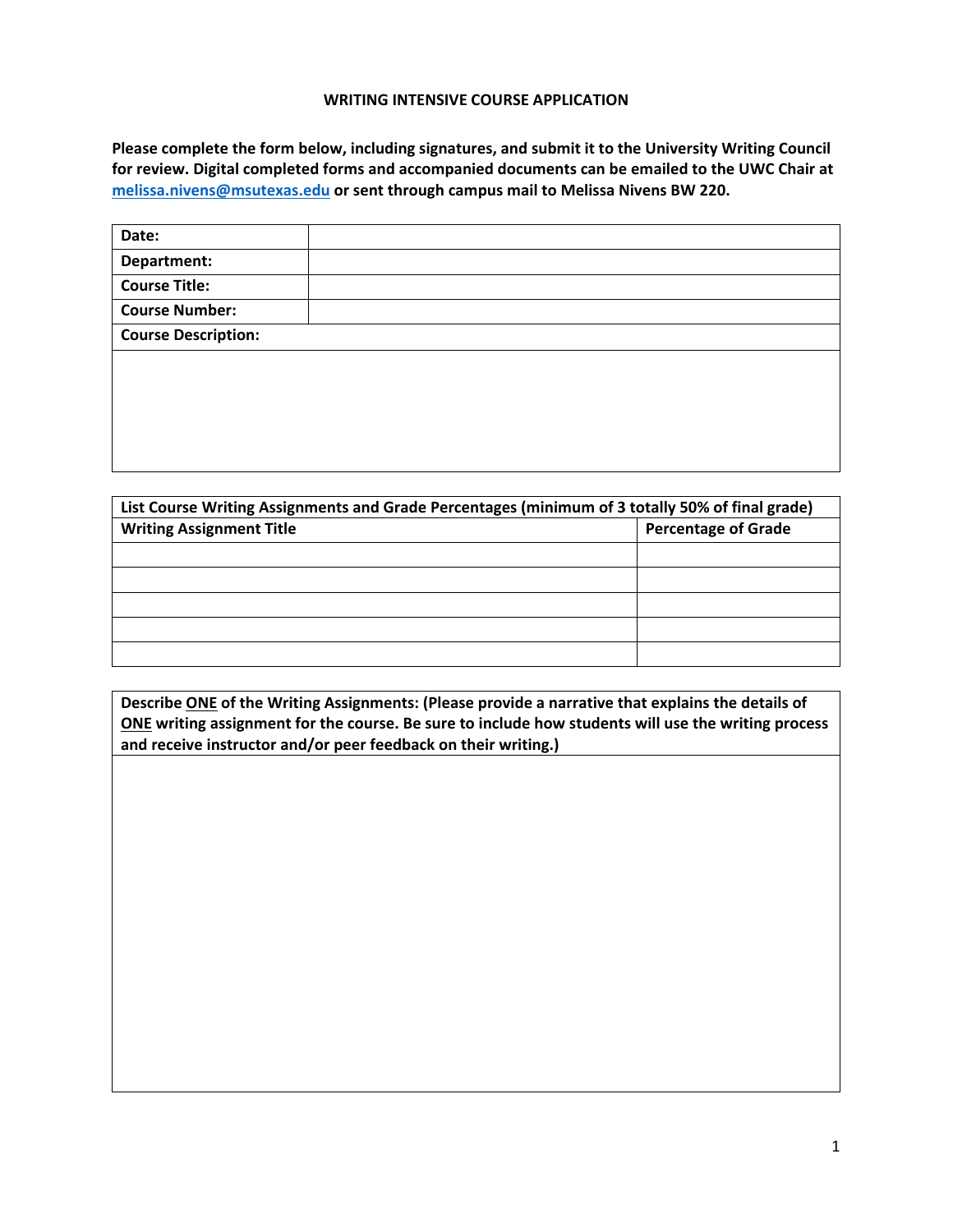## **WRITING INTENSIVE COURSE APPLICATION**

Please complete the form below, including signatures, and submit it to the University Writing Council for review. Digital completed forms and accompanied documents can be emailed to the UWC Chair at  **[melissa.nivens@msutexas.edu](mailto:melissa.nivens@msutexas.edu) or sent through campus mail to Melissa Nivens BW 220.**

| Date:                      |  |
|----------------------------|--|
| Department:                |  |
| <b>Course Title:</b>       |  |
| <b>Course Number:</b>      |  |
| <b>Course Description:</b> |  |
|                            |  |
|                            |  |
|                            |  |

| List Course Writing Assignments and Grade Percentages (minimum of 3 totally 50% of final grade) |                            |  |  |
|-------------------------------------------------------------------------------------------------|----------------------------|--|--|
| <b>Writing Assignment Title</b>                                                                 | <b>Percentage of Grade</b> |  |  |
|                                                                                                 |                            |  |  |
|                                                                                                 |                            |  |  |
|                                                                                                 |                            |  |  |
|                                                                                                 |                            |  |  |
|                                                                                                 |                            |  |  |

Describe ONE of the Writing Assignments: (Please provide a narrative that explains the details of ONE writing assignment for the course. Be sure to include how students will use the writing process  **and receive instructor and/or peer feedback on their writing.)**